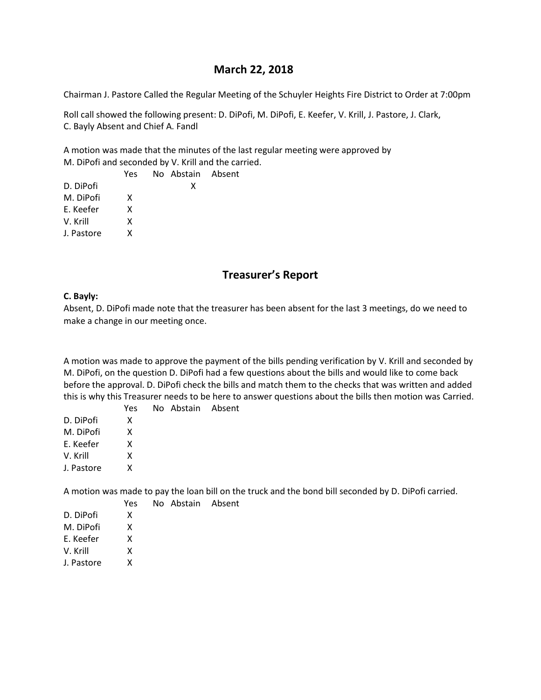# **March 22, 2018**

Chairman J. Pastore Called the Regular Meeting of the Schuyler Heights Fire District to Order at 7:00pm

Roll call showed the following present: D. DiPofi, M. DiPofi, E. Keefer, V. Krill, J. Pastore, J. Clark, C. Bayly Absent and Chief A. Fandl

A motion was made that the minutes of the last regular meeting were approved by M. DiPofi and seconded by V. Krill and the carried.

|            | Yes | No Abstain Absent |  |
|------------|-----|-------------------|--|
| D. DiPofi  |     | x                 |  |
| M. DiPofi  | x   |                   |  |
| E. Keefer  | x   |                   |  |
| V. Krill   | x   |                   |  |
| J. Pastore | x   |                   |  |
|            |     |                   |  |

# **Treasurer's Report**

#### **C. Bayly:**

Absent, D. DiPofi made note that the treasurer has been absent for the last 3 meetings, do we need to make a change in our meeting once.

A motion was made to approve the payment of the bills pending verification by V. Krill and seconded by M. DiPofi, on the question D. DiPofi had a few questions about the bills and would like to come back before the approval. D. DiPofi check the bills and match them to the checks that was written and added this is why this Treasurer needs to be here to answer questions about the bills then motion was Carried.

|            | Yes | No Abstain Absent |  |
|------------|-----|-------------------|--|
| D. DiPofi  | x   |                   |  |
| M. DiPofi  | x   |                   |  |
| E. Keefer  | x   |                   |  |
| V. Krill   | x   |                   |  |
| J. Pastore | x   |                   |  |
|            |     |                   |  |

A motion was made to pay the loan bill on the truck and the bond bill seconded by D. DiPofi carried.

No Abstain Absent

|            | Yes |
|------------|-----|
| D. DiPofi  | x   |
| M. DiPofi  | x   |
| F. Keefer  | x   |
| V. Krill   | x   |
| J. Pastore | x   |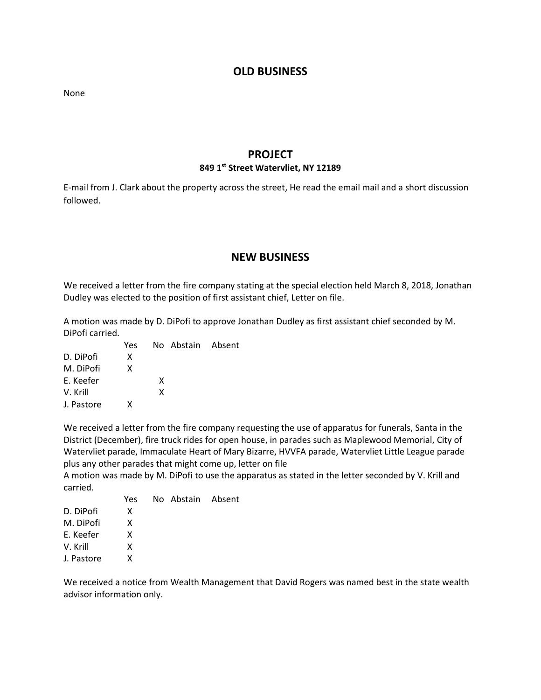### **OLD BUSINESS**

None

### **PROJECT**

#### **849 1st Street Watervliet, NY 12189**

E-mail from J. Clark about the property across the street, He read the email mail and a short discussion followed.

## **NEW BUSINESS**

We received a letter from the fire company stating at the special election held March 8, 2018, Jonathan Dudley was elected to the position of first assistant chief, Letter on file.

A motion was made by D. DiPofi to approve Jonathan Dudley as first assistant chief seconded by M. DiPofi carried.

|            | Yes |   | No Abstain Absent |  |
|------------|-----|---|-------------------|--|
| D. DiPofi  | x   |   |                   |  |
| M. DiPofi  | X   |   |                   |  |
| E. Keefer  |     | x |                   |  |
| V. Krill   |     | x |                   |  |
| J. Pastore | x   |   |                   |  |

We received a letter from the fire company requesting the use of apparatus for funerals, Santa in the District (December), fire truck rides for open house, in parades such as Maplewood Memorial, City of Watervliet parade, Immaculate Heart of Mary Bizarre, HVVFA parade, Watervliet Little League parade plus any other parades that might come up, letter on file

A motion was made by M. DiPofi to use the apparatus as stated in the letter seconded by V. Krill and carried.

|            | Yes | No Abstain Absent |  |
|------------|-----|-------------------|--|
| D. DiPofi  | x   |                   |  |
| M. DiPofi  | x   |                   |  |
| E. Keefer  | x   |                   |  |
| V. Krill   | x   |                   |  |
| J. Pastore | x   |                   |  |

We received a notice from Wealth Management that David Rogers was named best in the state wealth advisor information only.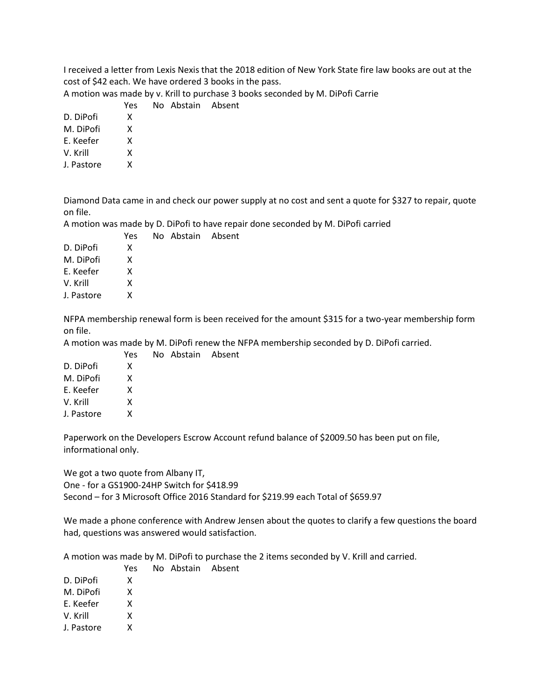I received a letter from Lexis Nexis that the 2018 edition of New York State fire law books are out at the cost of \$42 each. We have ordered 3 books in the pass.

A motion was made by v. Krill to purchase 3 books seconded by M. DiPofi Carrie

|           | Yes | No Abstain Absent |  |
|-----------|-----|-------------------|--|
| D. DiPofi |     |                   |  |

M. DiPofi X

E. Keefer X

V. Krill X

J. Pastore X

Diamond Data came in and check our power supply at no cost and sent a quote for \$327 to repair, quote on file.

A motion was made by D. DiPofi to have repair done seconded by M. DiPofi carried

|            | Yes. | No Abstain Absent |  |
|------------|------|-------------------|--|
| D. DiPofi  | x    |                   |  |
| M. DiPofi  | x    |                   |  |
| E. Keefer  | x    |                   |  |
| V. Krill   | x    |                   |  |
| J. Pastore | x    |                   |  |

NFPA membership renewal form is been received for the amount \$315 for a two-year membership form on file.

A motion was made by M. DiPofi renew the NFPA membership seconded by D. DiPofi carried.

| Yes. |  |                   |
|------|--|-------------------|
| x    |  |                   |
| x    |  |                   |
| x    |  |                   |
| x    |  |                   |
| x    |  |                   |
|      |  | No Abstain Absent |

Paperwork on the Developers Escrow Account refund balance of \$2009.50 has been put on file, informational only.

We got a two quote from Albany IT, One - for a GS1900-24HP Switch for \$418.99 Second – for 3 Microsoft Office 2016 Standard for \$219.99 each Total of \$659.97

We made a phone conference with Andrew Jensen about the quotes to clarify a few questions the board had, questions was answered would satisfaction.

A motion was made by M. DiPofi to purchase the 2 items seconded by V. Krill and carried.

|            | Yes | No Abstain Absent |  |
|------------|-----|-------------------|--|
| D. DiPofi  | x   |                   |  |
| M. DiPofi  | x   |                   |  |
| E. Keefer  | x   |                   |  |
| V. Krill   | x   |                   |  |
| J. Pastore | x   |                   |  |
|            |     |                   |  |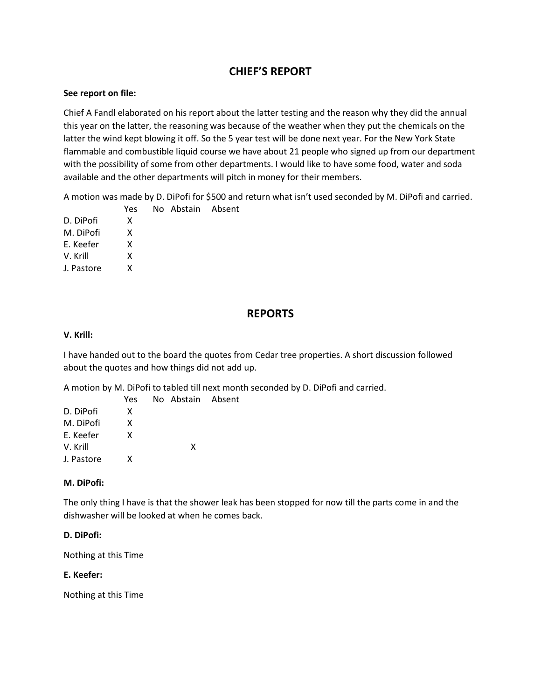# **CHIEF'S REPORT**

#### **See report on file:**

Chief A Fandl elaborated on his report about the latter testing and the reason why they did the annual this year on the latter, the reasoning was because of the weather when they put the chemicals on the latter the wind kept blowing it off. So the 5 year test will be done next year. For the New York State flammable and combustible liquid course we have about 21 people who signed up from our department with the possibility of some from other departments. I would like to have some food, water and soda available and the other departments will pitch in money for their members.

A motion was made by D. DiPofi for \$500 and return what isn't used seconded by M. DiPofi and carried.

 Yes No Abstain Absent D. DiPofi X M. DiPofi X E. Keefer X V. Krill X J. Pastore X

## **REPORTS**

#### **V. Krill:**

I have handed out to the board the quotes from Cedar tree properties. A short discussion followed about the quotes and how things did not add up.

A motion by M. DiPofi to tabled till next month seconded by D. DiPofi and carried.

|            | Yes | No Abstain Absent |  |
|------------|-----|-------------------|--|
| D. DiPofi  | x   |                   |  |
| M. DiPofi  | x   |                   |  |
| F. Keefer  | x   |                   |  |
| V. Krill   |     | x                 |  |
| J. Pastore | x   |                   |  |

#### **M. DiPofi:**

The only thing I have is that the shower leak has been stopped for now till the parts come in and the dishwasher will be looked at when he comes back.

#### **D. DiPofi:**

Nothing at this Time

#### **E. Keefer:**

Nothing at this Time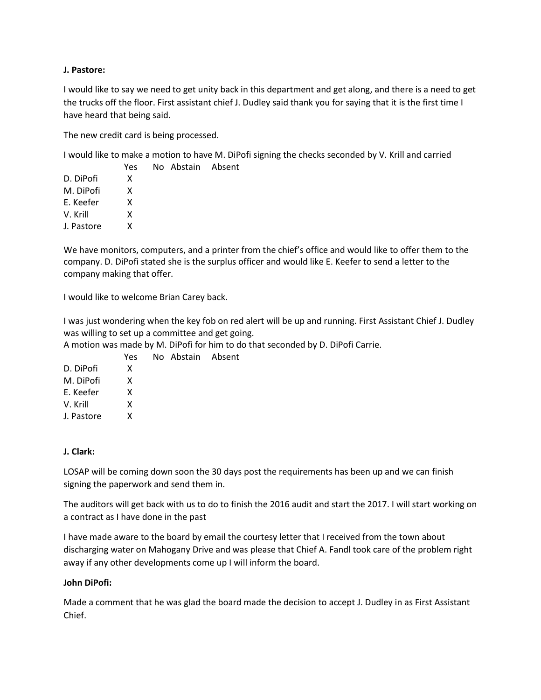#### **J. Pastore:**

I would like to say we need to get unity back in this department and get along, and there is a need to get the trucks off the floor. First assistant chief J. Dudley said thank you for saying that it is the first time I have heard that being said.

The new credit card is being processed.

No Abstain Absent

I would like to make a motion to have M. DiPofi signing the checks seconded by V. Krill and carried

|            | Yes |
|------------|-----|
| D. DiPofi  | x   |
| M. DiPofi  | x   |
| E. Keefer  | x   |
| V. Krill   | x   |
| J. Pastore | x   |
|            |     |

We have monitors, computers, and a printer from the chief's office and would like to offer them to the company. D. DiPofi stated she is the surplus officer and would like E. Keefer to send a letter to the company making that offer.

I would like to welcome Brian Carey back.

I was just wondering when the key fob on red alert will be up and running. First Assistant Chief J. Dudley was willing to set up a committee and get going.

A motion was made by M. DiPofi for him to do that seconded by D. DiPofi Carrie.

| Yes |  |                   |
|-----|--|-------------------|
| x   |  |                   |
| x   |  |                   |
| x   |  |                   |
| x   |  |                   |
| x   |  |                   |
|     |  | No Abstain Absent |

#### **J. Clark:**

LOSAP will be coming down soon the 30 days post the requirements has been up and we can finish signing the paperwork and send them in.

The auditors will get back with us to do to finish the 2016 audit and start the 2017. I will start working on a contract as I have done in the past

I have made aware to the board by email the courtesy letter that I received from the town about discharging water on Mahogany Drive and was please that Chief A. Fandl took care of the problem right away if any other developments come up I will inform the board.

#### **John DiPofi:**

Made a comment that he was glad the board made the decision to accept J. Dudley in as First Assistant Chief.